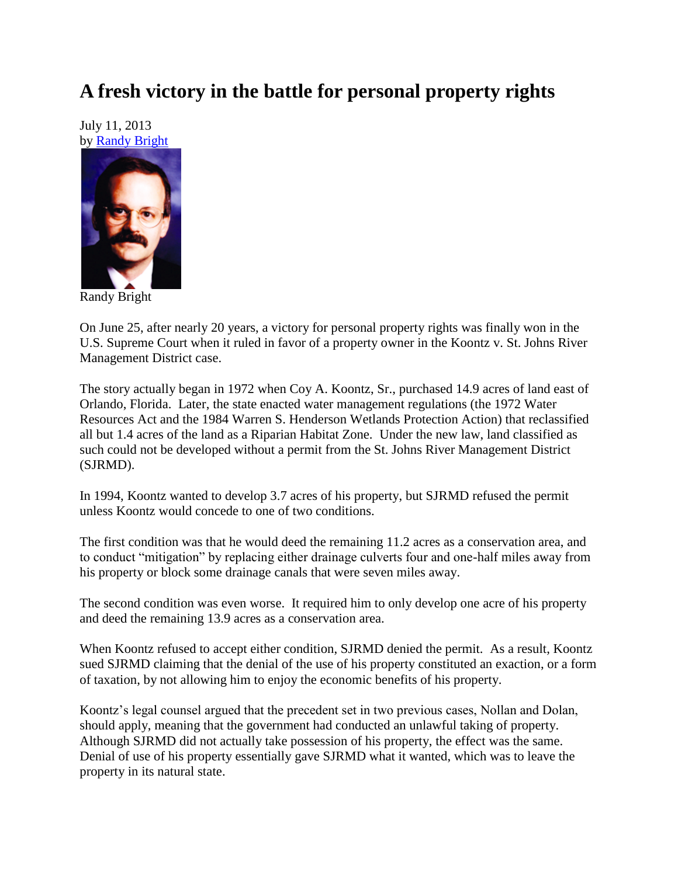## **A fresh victory in the battle for personal property rights**

July 11, 2013 by [Randy Bright](http://tulsabeacon.com/writers/randy-bright/)



Randy Bright

On June 25, after nearly 20 years, a victory for personal property rights was finally won in the U.S. Supreme Court when it ruled in favor of a property owner in the Koontz v. St. Johns River Management District case.

The story actually began in 1972 when Coy A. Koontz, Sr., purchased 14.9 acres of land east of Orlando, Florida. Later, the state enacted water management regulations (the 1972 Water Resources Act and the 1984 Warren S. Henderson Wetlands Protection Action) that reclassified all but 1.4 acres of the land as a Riparian Habitat Zone. Under the new law, land classified as such could not be developed without a permit from the St. Johns River Management District (SJRMD).

In 1994, Koontz wanted to develop 3.7 acres of his property, but SJRMD refused the permit unless Koontz would concede to one of two conditions.

The first condition was that he would deed the remaining 11.2 acres as a conservation area, and to conduct "mitigation" by replacing either drainage culverts four and one-half miles away from his property or block some drainage canals that were seven miles away.

The second condition was even worse. It required him to only develop one acre of his property and deed the remaining 13.9 acres as a conservation area.

When Koontz refused to accept either condition, SJRMD denied the permit. As a result, Koontz sued SJRMD claiming that the denial of the use of his property constituted an exaction, or a form of taxation, by not allowing him to enjoy the economic benefits of his property.

Koontz's legal counsel argued that the precedent set in two previous cases, Nollan and Dolan, should apply, meaning that the government had conducted an unlawful taking of property. Although SJRMD did not actually take possession of his property, the effect was the same. Denial of use of his property essentially gave SJRMD what it wanted, which was to leave the property in its natural state.